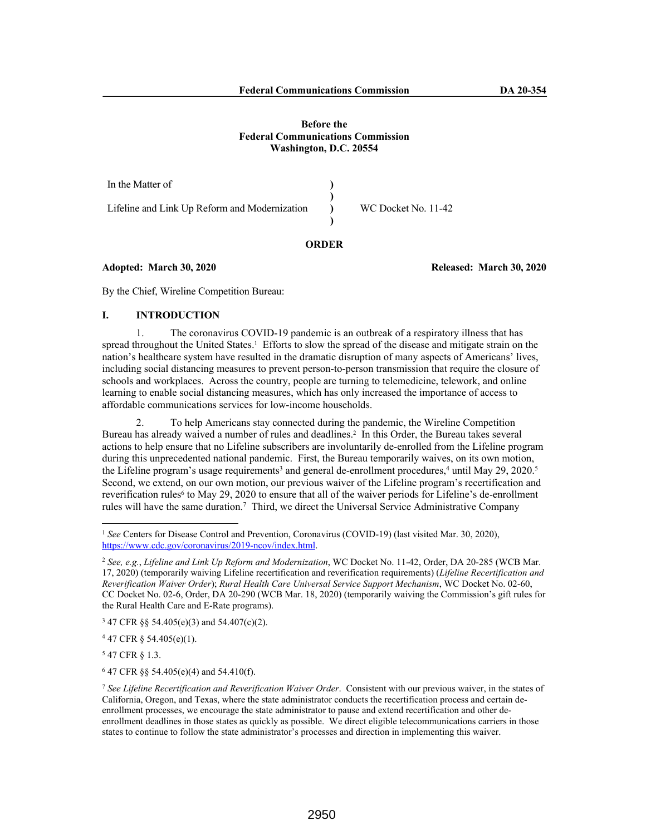### **Before the Federal Communications Commission Washington, D.C. 20554**

In the Matter of Lifeline and Link Up Reform and Modernization **) ) ) )** WC Docket No. 11-42

# **ORDER**

### **Adopted: March 30, 2020 Released: March 30, 2020**

By the Chief, Wireline Competition Bureau:

### **I. INTRODUCTION**

1. The coronavirus COVID-19 pandemic is an outbreak of a respiratory illness that has spread throughout the United States.<sup>1</sup> Efforts to slow the spread of the disease and mitigate strain on the nation's healthcare system have resulted in the dramatic disruption of many aspects of Americans' lives, including social distancing measures to prevent person-to-person transmission that require the closure of schools and workplaces. Across the country, people are turning to telemedicine, telework, and online learning to enable social distancing measures, which has only increased the importance of access to affordable communications services for low-income households.

2. To help Americans stay connected during the pandemic, the Wireline Competition Bureau has already waived a number of rules and deadlines.<sup>2</sup> In this Order, the Bureau takes several actions to help ensure that no Lifeline subscribers are involuntarily de-enrolled from the Lifeline program during this unprecedented national pandemic. First, the Bureau temporarily waives, on its own motion, the Lifeline program's usage requirements<sup>3</sup> and general de-enrollment procedures,<sup>4</sup> until May 29, 2020.<sup>5</sup> Second, we extend, on our own motion, our previous waiver of the Lifeline program's recertification and reverification rules<sup>6</sup> to May 29, 2020 to ensure that all of the waiver periods for Lifeline's de-enrollment rules will have the same duration.<sup>7</sup> Third, we direct the Universal Service Administrative Company

 $347$  CFR §§ 54.405(e)(3) and 54.407(c)(2).

 $447$  CFR § 54.405(e)(1).

5 47 CFR § 1.3.

6 47 CFR §§ 54.405(e)(4) and 54.410(f).

<sup>1</sup> *See* Centers for Disease Control and Prevention, Coronavirus (COVID-19) (last visited Mar. 30, 2020), https://www.cdc.gov/coronavirus/2019-ncov/index.html.

<sup>2</sup> *See, e.g.*, *Lifeline and Link Up Reform and Modernization*, WC Docket No. 11-42, Order, DA 20-285 (WCB Mar. 17, 2020) (temporarily waiving Lifeline recertification and reverification requirements) (*Lifeline Recertification and Reverification Waiver Order*); *Rural Health Care Universal Service Support Mechanism*, WC Docket No. 02-60, CC Docket No. 02-6, Order, DA 20-290 (WCB Mar. 18, 2020) (temporarily waiving the Commission's gift rules for the Rural Health Care and E-Rate programs).

<sup>7</sup> *See Lifeline Recertification and Reverification Waiver Order*. Consistent with our previous waiver, in the states of California, Oregon, and Texas, where the state administrator conducts the recertification process and certain deenrollment processes, we encourage the state administrator to pause and extend recertification and other deenrollment deadlines in those states as quickly as possible. We direct eligible telecommunications carriers in those states to continue to follow the state administrator's processes and direction in implementing this waiver.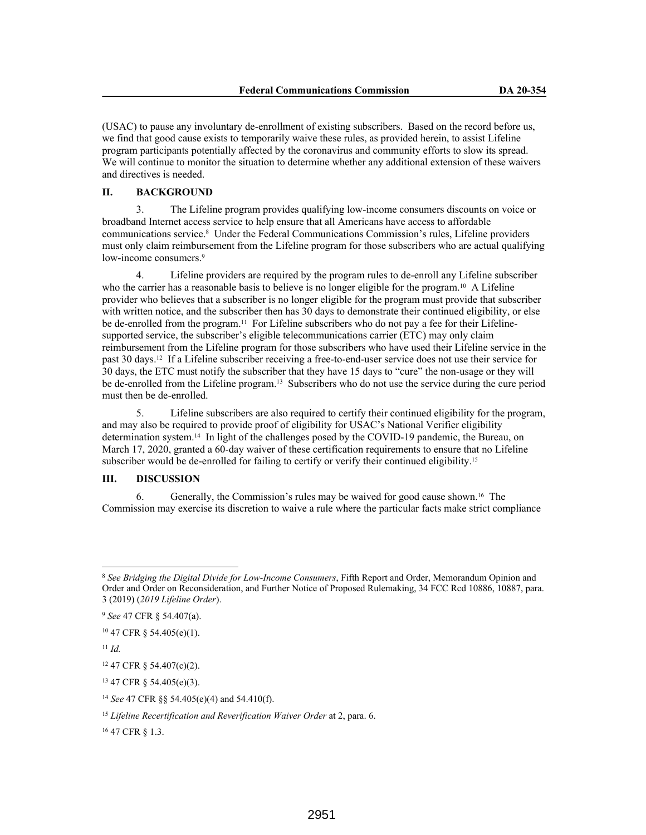(USAC) to pause any involuntary de-enrollment of existing subscribers. Based on the record before us, we find that good cause exists to temporarily waive these rules, as provided herein, to assist Lifeline program participants potentially affected by the coronavirus and community efforts to slow its spread. We will continue to monitor the situation to determine whether any additional extension of these waivers and directives is needed.

### **II. BACKGROUND**

3. The Lifeline program provides qualifying low-income consumers discounts on voice or broadband Internet access service to help ensure that all Americans have access to affordable communications service.<sup>8</sup> Under the Federal Communications Commission's rules, Lifeline providers must only claim reimbursement from the Lifeline program for those subscribers who are actual qualifying low-income consumers.<sup>9</sup>

4. Lifeline providers are required by the program rules to de-enroll any Lifeline subscriber who the carrier has a reasonable basis to believe is no longer eligible for the program.<sup>10</sup> A Lifeline provider who believes that a subscriber is no longer eligible for the program must provide that subscriber with written notice, and the subscriber then has 30 days to demonstrate their continued eligibility, or else be de-enrolled from the program.<sup>11</sup> For Lifeline subscribers who do not pay a fee for their Lifelinesupported service, the subscriber's eligible telecommunications carrier (ETC) may only claim reimbursement from the Lifeline program for those subscribers who have used their Lifeline service in the past 30 days.12 If a Lifeline subscriber receiving a free-to-end-user service does not use their service for 30 days, the ETC must notify the subscriber that they have 15 days to "cure" the non-usage or they will be de-enrolled from the Lifeline program.13 Subscribers who do not use the service during the cure period must then be de-enrolled.

5. Lifeline subscribers are also required to certify their continued eligibility for the program, and may also be required to provide proof of eligibility for USAC's National Verifier eligibility determination system.14 In light of the challenges posed by the COVID-19 pandemic, the Bureau, on March 17, 2020, granted a 60-day waiver of these certification requirements to ensure that no Lifeline subscriber would be de-enrolled for failing to certify or verify their continued eligibility.<sup>15</sup>

## **III. DISCUSSION**

6. Generally, the Commission's rules may be waived for good cause shown.16 The Commission may exercise its discretion to waive a rule where the particular facts make strict compliance

<sup>12</sup> 47 CFR § 54.407(c)(2).

<sup>8</sup> *See Bridging the Digital Divide for Low-Income Consumers*, Fifth Report and Order, Memorandum Opinion and Order and Order on Reconsideration, and Further Notice of Proposed Rulemaking, 34 FCC Rcd 10886, 10887, para. 3 (2019) (*2019 Lifeline Order*).

<sup>9</sup> *See* 47 CFR § 54.407(a).

<sup>10</sup> 47 CFR § 54.405(e)(1).

<sup>11</sup> *Id.*

<sup>13</sup> 47 CFR § 54.405(e)(3).

<sup>14</sup> *See* 47 CFR §§ 54.405(e)(4) and 54.410(f).

<sup>15</sup> *Lifeline Recertification and Reverification Waiver Order* at 2, para. 6.

<sup>16</sup> 47 CFR § 1.3.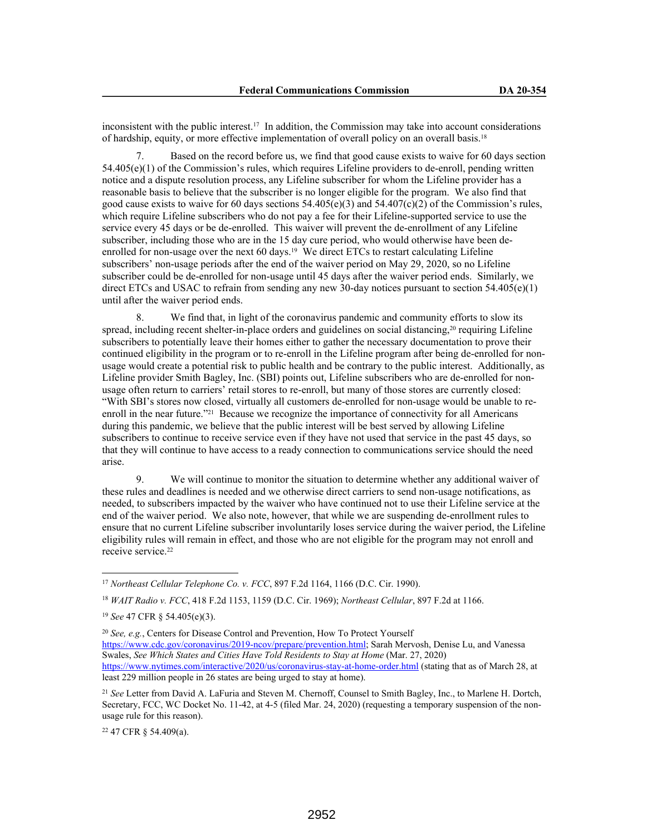inconsistent with the public interest.17 In addition, the Commission may take into account considerations of hardship, equity, or more effective implementation of overall policy on an overall basis.<sup>18</sup>

7. Based on the record before us, we find that good cause exists to waive for 60 days section 54.405(e)(1) of the Commission's rules, which requires Lifeline providers to de-enroll, pending written notice and a dispute resolution process, any Lifeline subscriber for whom the Lifeline provider has a reasonable basis to believe that the subscriber is no longer eligible for the program. We also find that good cause exists to waive for 60 days sections  $54.405(e)(3)$  and  $54.407(e)(2)$  of the Commission's rules, which require Lifeline subscribers who do not pay a fee for their Lifeline-supported service to use the service every 45 days or be de-enrolled. This waiver will prevent the de-enrollment of any Lifeline subscriber, including those who are in the 15 day cure period, who would otherwise have been deenrolled for non-usage over the next 60 days.<sup>19</sup> We direct ETCs to restart calculating Lifeline subscribers' non-usage periods after the end of the waiver period on May 29, 2020, so no Lifeline subscriber could be de-enrolled for non-usage until 45 days after the waiver period ends. Similarly, we direct ETCs and USAC to refrain from sending any new 30-day notices pursuant to section  $54.405(e)(1)$ until after the waiver period ends.

8. We find that, in light of the coronavirus pandemic and community efforts to slow its spread, including recent shelter-in-place orders and guidelines on social distancing,<sup>20</sup> requiring Lifeline subscribers to potentially leave their homes either to gather the necessary documentation to prove their continued eligibility in the program or to re-enroll in the Lifeline program after being de-enrolled for nonusage would create a potential risk to public health and be contrary to the public interest. Additionally, as Lifeline provider Smith Bagley, Inc. (SBI) points out, Lifeline subscribers who are de-enrolled for nonusage often return to carriers' retail stores to re-enroll, but many of those stores are currently closed: "With SBI's stores now closed, virtually all customers de-enrolled for non-usage would be unable to reenroll in the near future."<sup>21</sup> Because we recognize the importance of connectivity for all Americans during this pandemic, we believe that the public interest will be best served by allowing Lifeline subscribers to continue to receive service even if they have not used that service in the past 45 days, so that they will continue to have access to a ready connection to communications service should the need arise.

9. We will continue to monitor the situation to determine whether any additional waiver of these rules and deadlines is needed and we otherwise direct carriers to send non-usage notifications, as needed, to subscribers impacted by the waiver who have continued not to use their Lifeline service at the end of the waiver period. We also note, however, that while we are suspending de-enrollment rules to ensure that no current Lifeline subscriber involuntarily loses service during the waiver period, the Lifeline eligibility rules will remain in effect, and those who are not eligible for the program may not enroll and receive service.<sup>22</sup>

<sup>22</sup> 47 CFR § 54.409(a).

<sup>17</sup> *Northeast Cellular Telephone Co. v. FCC*, 897 F.2d 1164, 1166 (D.C. Cir. 1990).

<sup>18</sup> *WAIT Radio v. FCC*, 418 F.2d 1153, 1159 (D.C. Cir. 1969); *Northeast Cellular*, 897 F.2d at 1166.

<sup>19</sup> *See* 47 CFR § 54.405(e)(3).

<sup>20</sup> *See, e.g.*, Centers for Disease Control and Prevention, How To Protect Yourself https://www.cdc.gov/coronavirus/2019-ncov/prepare/prevention.html; Sarah Mervosh, Denise Lu, and Vanessa Swales, *See Which States and Cities Have Told Residents to Stay at Home* (Mar. 27, 2020) https://www.nytimes.com/interactive/2020/us/coronavirus-stay-at-home-order.html (stating that as of March 28, at least 229 million people in 26 states are being urged to stay at home).

<sup>21</sup> *See* Letter from David A. LaFuria and Steven M. Chernoff, Counsel to Smith Bagley, Inc., to Marlene H. Dortch, Secretary, FCC, WC Docket No. 11-42, at 4-5 (filed Mar. 24, 2020) (requesting a temporary suspension of the nonusage rule for this reason).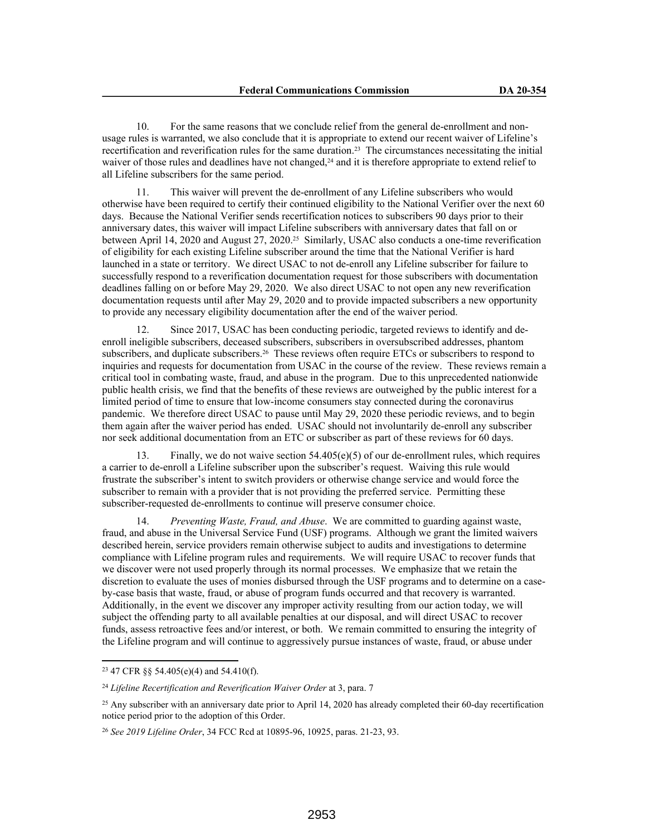10. For the same reasons that we conclude relief from the general de-enrollment and nonusage rules is warranted, we also conclude that it is appropriate to extend our recent waiver of Lifeline's recertification and reverification rules for the same duration.23 The circumstances necessitating the initial waiver of those rules and deadlines have not changed,<sup>24</sup> and it is therefore appropriate to extend relief to all Lifeline subscribers for the same period.

11. This waiver will prevent the de-enrollment of any Lifeline subscribers who would otherwise have been required to certify their continued eligibility to the National Verifier over the next 60 days. Because the National Verifier sends recertification notices to subscribers 90 days prior to their anniversary dates, this waiver will impact Lifeline subscribers with anniversary dates that fall on or between April 14, 2020 and August 27, 2020.25 Similarly, USAC also conducts a one-time reverification of eligibility for each existing Lifeline subscriber around the time that the National Verifier is hard launched in a state or territory. We direct USAC to not de-enroll any Lifeline subscriber for failure to successfully respond to a reverification documentation request for those subscribers with documentation deadlines falling on or before May 29, 2020. We also direct USAC to not open any new reverification documentation requests until after May 29, 2020 and to provide impacted subscribers a new opportunity to provide any necessary eligibility documentation after the end of the waiver period.

12. Since 2017, USAC has been conducting periodic, targeted reviews to identify and deenroll ineligible subscribers, deceased subscribers, subscribers in oversubscribed addresses, phantom subscribers, and duplicate subscribers.26 These reviews often require ETCs or subscribers to respond to inquiries and requests for documentation from USAC in the course of the review. These reviews remain a critical tool in combating waste, fraud, and abuse in the program. Due to this unprecedented nationwide public health crisis, we find that the benefits of these reviews are outweighed by the public interest for a limited period of time to ensure that low-income consumers stay connected during the coronavirus pandemic. We therefore direct USAC to pause until May 29, 2020 these periodic reviews, and to begin them again after the waiver period has ended. USAC should not involuntarily de-enroll any subscriber nor seek additional documentation from an ETC or subscriber as part of these reviews for 60 days.

13. Finally, we do not waive section 54.405(e)(5) of our de-enrollment rules, which requires a carrier to de-enroll a Lifeline subscriber upon the subscriber's request. Waiving this rule would frustrate the subscriber's intent to switch providers or otherwise change service and would force the subscriber to remain with a provider that is not providing the preferred service. Permitting these subscriber-requested de-enrollments to continue will preserve consumer choice.

14. *Preventing Waste, Fraud, and Abuse*. We are committed to guarding against waste, fraud, and abuse in the Universal Service Fund (USF) programs. Although we grant the limited waivers described herein, service providers remain otherwise subject to audits and investigations to determine compliance with Lifeline program rules and requirements. We will require USAC to recover funds that we discover were not used properly through its normal processes. We emphasize that we retain the discretion to evaluate the uses of monies disbursed through the USF programs and to determine on a caseby-case basis that waste, fraud, or abuse of program funds occurred and that recovery is warranted. Additionally, in the event we discover any improper activity resulting from our action today, we will subject the offending party to all available penalties at our disposal, and will direct USAC to recover funds, assess retroactive fees and/or interest, or both. We remain committed to ensuring the integrity of the Lifeline program and will continue to aggressively pursue instances of waste, fraud, or abuse under

<sup>23</sup> 47 CFR §§ 54.405(e)(4) and 54.410(f).

<sup>24</sup> *Lifeline Recertification and Reverification Waiver Order* at 3, para. 7

<sup>&</sup>lt;sup>25</sup> Any subscriber with an anniversary date prior to April 14, 2020 has already completed their 60-day recertification notice period prior to the adoption of this Order.

<sup>26</sup> *See 2019 Lifeline Order*, 34 FCC Rcd at 10895-96, 10925, paras. 21-23, 93.